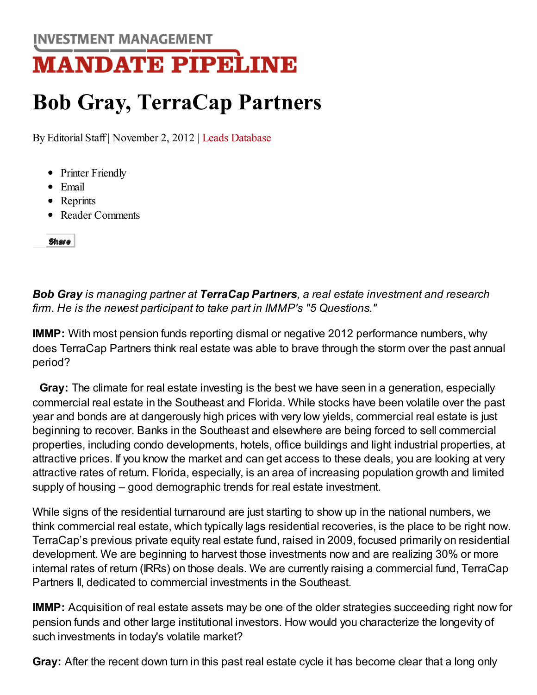**INVESTMENT MANAGEMENT** 

## **MANDATE PIPELINE**

## Bob Gray, TerraCap Partners

By [Editorial](http://www.mandatepipeline.com/db/fdc.collector?client_id=imweekly&form_id=storyeditform&link_id=3&Story_id=235011&Story_Title=Bob%20Gray%2C%20TerraCap%20Partners%20-%20Investment%20Management%20Mandate%20Pipeline) Staff | November 2, 2012 | Leads [Database](http://www.mandatepipeline.com/msdatabase/)

- Printer [Friendly](http://www.mandatepipeline.com/news/bob-gray-terracap-partners-real-estate-5questiona-235011-1.html?zkPrintable=true)
- [Email](http://www.mandatepipeline.com/news/bob-gray-terracap-partners-real-estate-5questiona-235011-1.html?zkDo=emailArticlePrompt)
- [Reprints](http://license.icopyright.net/3.8164?icx_id=235011)
- Reader [Comments](http://www.mandatepipeline.com/db/fdc.collector?client_id=imweekly&form_id=storyeditform&link_id=3&Story_id=235011&Story_Title=Bob%20Gray%2C%20TerraCap%20Partners%20-%20Investment%20Management%20Mandate%20Pipeline)

[Share](javascript:void(0);)

Bob Gray is managing partner at TerraCap Partners, a real estate investment and research firm. He is the newest participant to take part in IMMP's "5 Questions."

IMMP: With most pension funds reporting dismal or negative 2012 performance numbers, why does TerraCap Partners think real estate was able to brave through the storm over the past annual period?

Gray: The climate for real estate investing is the best we have seen in a generation, especially commercial real estate in the Southeast and Florida. While stocks have been volatile over the past year and bonds are at dangerously high prices with very low yields, commercial real estate is just beginning to recover. Banks in the Southeast and elsewhere are being forced to sell commercial properties, including condo developments, hotels, office buildings and light industrial properties, at attractive prices. If you know the market and can get access to these deals, you are looking at very attractive rates of return. Florida, especially, is an area of increasing population growth and limited supply of housing – good demographic trends for real estate investment.

While signs of the residential turnaround are just starting to show up in the national numbers, we think commercial real estate, which typically lags residential recoveries, is the place to be right now. TerraCap's previous private equity real estate fund, raised in 2009, focused primarily on residential development. We are beginning to harvest those investments now and are realizing 30% or more internal rates of return (IRRs) on those deals. We are currently raising a commercial fund, TerraCap Partners II, dedicated to commercial investments in the Southeast.

IMMP: Acquisition of real estate assets may be one of the older strategies succeeding right now for pension funds and other large institutional investors. How would you characterize the longevity of such investments in today's volatile market?

Gray: After the recent down turn in this past real estate cycle it has become clear that a long only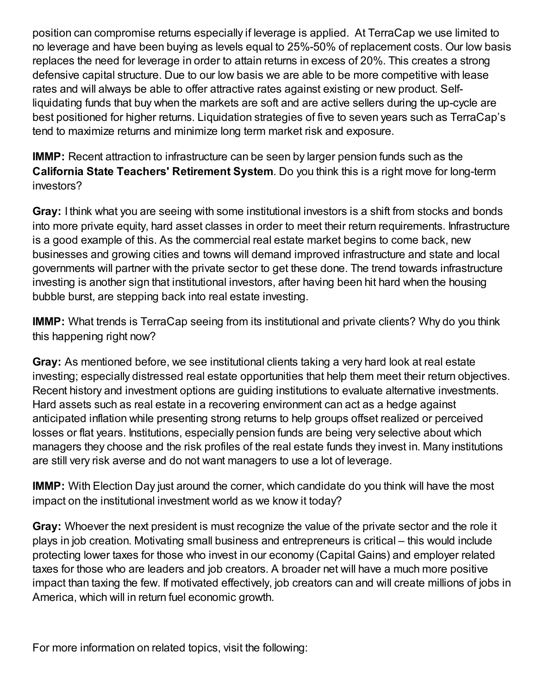position can compromise returns especially if leverage is applied. At TerraCap we use limited to no leverage and have been buying as levels equal to 25%-50% of replacement costs. Our low basis replaces the need for leverage in order to attain returns in excess of 20%. This creates a strong defensive capital structure. Due to our low basis we are able to be more competitive with lease rates and will always be able to offer attractive rates against existing or new product. Selfliquidating funds that buy when the markets are soft and are active sellers during the up-cycle are best positioned for higher returns. Liquidation strategies of five to seven years such as TerraCap's tend to maximize returns and minimize long term market risk and exposure.

IMMP: Recent attraction to infrastructure can be seen by larger pension funds such as the California State Teachers' Retirement System. Do you think this is a right move for long-term investors?

Gray: I think what you are seeing with some institutional investors is a shift from stocks and bonds into more private equity, hard asset classes in order to meet their return requirements. Infrastructure is a good example of this. As the commercial real estate market begins to come back, new businesses and growing cities and towns will demand improved infrastructure and state and local governments will partner with the private sector to get these done. The trend towards infrastructure investing is another sign that institutional investors, after having been hit hard when the housing bubble burst, are stepping back into real estate investing.

IMMP: What trends is TerraCap seeing from its institutional and private clients? Why do you think this happening right now?

Gray: As mentioned before, we see institutional clients taking a very hard look at real estate investing; especially distressed real estate opportunities that help them meet their return objectives. Recent history and investment options are guiding institutions to evaluate alternative investments. Hard assets such as real estate in a recovering environment can act as a hedge against anticipated inflation while presenting strong returns to help groups offset realized or perceived losses or flat years. Institutions, especially pension funds are being very selective about which managers they choose and the risk profiles of the real estate funds they invest in. Many institutions are still very risk averse and do not want managers to use a lot of leverage.

IMMP: With Election Day just around the corner, which candidate do you think will have the most impact on the institutional investment world as we know it today?

Gray: Whoever the next president is must recognize the value of the private sector and the role it plays in job creation. Motivating small business and entrepreneurs is critical – this would include protecting lower taxes for those who invest in our economy (Capital Gains) and employer related taxes for those who are leaders and job creators. A broader net will have a much more positive impact than taxing the few. If motivated effectively, job creators can and will create millions of jobs in America, which will in return fuel economic growth.

For more information on related topics, visit the following: